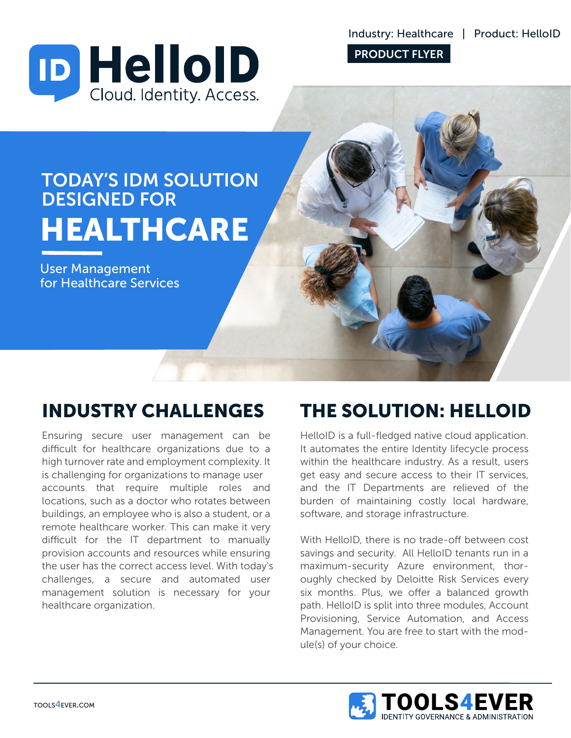Industry: Healthcare | Product: HelloID



PRODUCT FLYER



User Management for Healthcare Services

### INDUSTRY CHALLENGES

Ensuring secure user management can be difficult for healthcare organizations due to a high turnover rate and employment complexity. It is challenging for organizations to manage user accounts that require multiple roles and locations, such as a doctor who rotates between buildings, an employee who is also a student, or a remote healthcare worker. This can make it very difficult for the  $IT$  department to manually provision accounts and resources while ensuring the user has the correct access level. With today's challenges, a secure and automated user management solution is necessary for your healthcare organization.

# THE SOLUTION: HELLOID

HelloID is a full-fledged native cloud application. It automates the entire Identity lifecycle process within the healthcare industry. As a result, users get easy and secure access to their IT services, and the IT Departments are relieved of the burden of maintaining costly local hardware, software, and storage infrastructure.

With HelloID, there is no trade-off between cost savings and security. All HelloID tenants run in a maximum-security Azure environment, thoroughly checked by Deloitte Risk Services every six months. Plus, we offer a balanced growth path. HelloID is split into three modules, Account Provisioning, Service Automation, and Access Management. You are free to start with the module(s) of your choice.